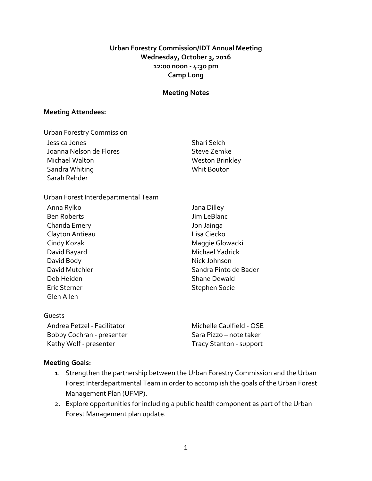## **Urban Forestry Commission/IDT Annual Meeting Wednesday, October 3, 2016 12:00 noon - 4:30 pm Camp Long**

#### **Meeting Notes**

#### **Meeting Attendees:**

| <b>Urban Forestry Commission</b> |                 |
|----------------------------------|-----------------|
| Jessica Jones                    | Shari Selch     |
| Joanna Nelson de Flores          | Steve Zemke     |
| Michael Walton                   | Weston Brinkley |
| Sandra Whiting                   | Whit Bouton     |
| Sarah Rehder                     |                 |

#### Urban Forest Interdepartmental Team

- Anna Rylko Jana Dilley Ben Roberts Jim LeBlanc Chanda Emery Jon Jainga Clayton Antieau **Lisa Ciecko** David Bayard **Michael Yadrick** David Body Nick Johnson Deb Heiden Shane Dewald Eric Sterner Stephen Socie Glen Allen
- Cindy Kozak **Maggie Glowacki** Maggie Glowacki David Mutchler Sandra Pinto de Bader

#### Guests

Andrea Petzel - Facilitator Michelle Caulfield - OSE Bobby Cochran - presenter Sara Pizzo – note taker Kathy Wolf - presenter Tracy Stanton - support

### **Meeting Goals:**

- 1. Strengthen the partnership between the Urban Forestry Commission and the Urban Forest Interdepartmental Team in order to accomplish the goals of the Urban Forest Management Plan (UFMP).
- 2. Explore opportunities for including a public health component as part of the Urban Forest Management plan update.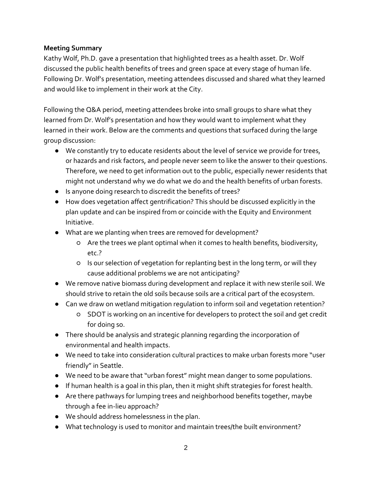## **Meeting Summary**

Kathy Wolf, Ph.D. gave a presentation that highlighted trees as a health asset. Dr. Wolf discussed the public health benefits of trees and green space at every stage of human life. Following Dr. Wolf's presentation, meeting attendees discussed and shared what they learned and would like to implement in their work at the City.

Following the Q&A period, meeting attendees broke into small groups to share what they learned from Dr. Wolf's presentation and how they would want to implement what they learned in their work. Below are the comments and questions that surfaced during the large group discussion:

- We constantly try to educate residents about the level of service we provide for trees, or hazards and risk factors, and people never seem to like the answer to their questions. Therefore, we need to get information out to the public, especially newer residents that might not understand why we do what we do and the health benefits of urban forests.
- Is anyone doing research to discredit the benefits of trees?
- How does vegetation affect gentrification? This should be discussed explicitly in the plan update and can be inspired from or coincide with the Equity and Environment Initiative.
- What are we planting when trees are removed for development?
	- Are the trees we plant optimal when it comes to health benefits, biodiversity, etc.?
	- Is our selection of vegetation for replanting best in the long term, or will they cause additional problems we are not anticipating?
- We remove native biomass during development and replace it with new sterile soil. We should strive to retain the old soils because soils are a critical part of the ecosystem.
- Can we draw on wetland mitigation regulation to inform soil and vegetation retention?
	- SDOT is working on an incentive for developers to protect the soil and get credit for doing so.
- There should be analysis and strategic planning regarding the incorporation of environmental and health impacts.
- We need to take into consideration cultural practices to make urban forests more "user friendly" in Seattle.
- We need to be aware that "urban forest" might mean danger to some populations.
- If human health is a goal in this plan, then it might shift strategies for forest health.
- Are there pathways for lumping trees and neighborhood benefits together, maybe through a fee in-lieu approach?
- We should address homelessness in the plan.
- What technology is used to monitor and maintain trees/the built environment?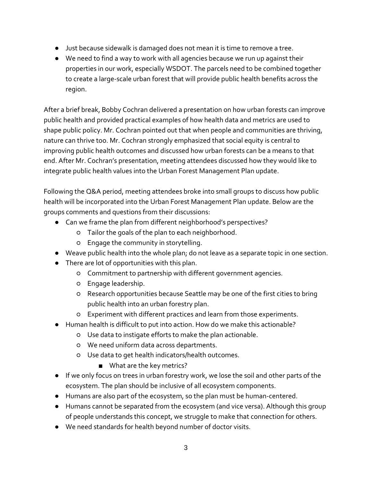- Just because sidewalk is damaged does not mean it is time to remove a tree.
- We need to find a way to work with all agencies because we run up against their properties in our work, especially WSDOT. The parcels need to be combined together to create a large-scale urban forest that will provide public health benefits across the region.

After a brief break, Bobby Cochran delivered a presentation on how urban forests can improve public health and provided practical examples of how health data and metrics are used to shape public policy. Mr. Cochran pointed out that when people and communities are thriving, nature can thrive too. Mr. Cochran strongly emphasized that social equity is central to improving public health outcomes and discussed how urban forests can be a means to that end. After Mr. Cochran's presentation, meeting attendees discussed how they would like to integrate public health values into the Urban Forest Management Plan update.

Following the Q&A period, meeting attendees broke into small groups to discuss how public health will be incorporated into the Urban Forest Management Plan update. Below are the groups comments and questions from their discussions:

- Can we frame the plan from different neighborhood's perspectives?
	- Tailor the goals of the plan to each neighborhood.
	- Engage the community in storytelling.
- Weave public health into the whole plan; do not leave as a separate topic in one section.
- There are lot of opportunities with this plan.
	- Commitment to partnership with different government agencies.
	- Engage leadership.
	- Research opportunities because Seattle may be one of the first cities to bring public health into an urban forestry plan.
	- Experiment with different practices and learn from those experiments.
- Human health is difficult to put into action. How do we make this actionable?
	- Use data to instigate efforts to make the plan actionable.
	- We need uniform data across departments.
	- Use data to get health indicators/health outcomes.
		- What are the key metrics?
- If we only focus on trees in urban forestry work, we lose the soil and other parts of the ecosystem. The plan should be inclusive of all ecosystem components.
- Humans are also part of the ecosystem, so the plan must be human-centered.
- Humans cannot be separated from the ecosystem (and vice versa). Although this group of people understands this concept, we struggle to make that connection for others.
- We need standards for health beyond number of doctor visits.